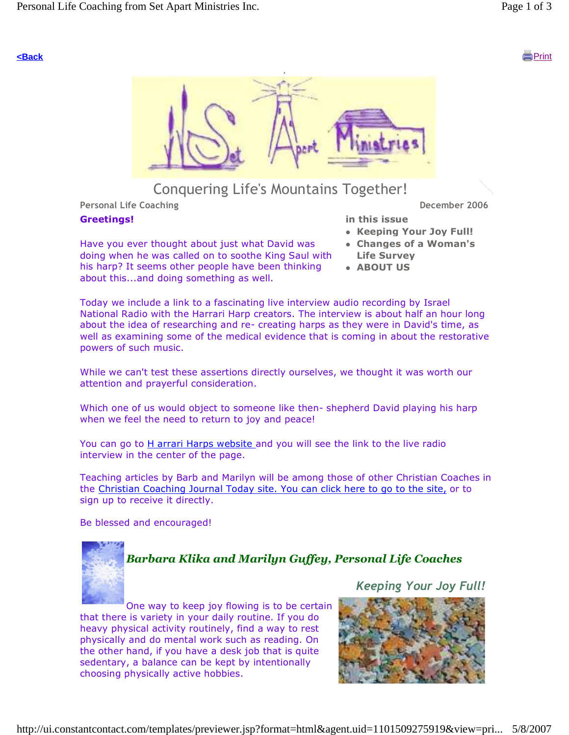

## Conquering Life's Mountains Together!

Personal Life Coaching **December 2006 December 2006** 

#### Greetings!

Have you ever thought about just what David was doing when he was called on to soothe King Saul with his harp? It seems other people have been thinking about this...and doing something as well.

in this issue

- Keeping Your Joy Full!
- Changes of a Woman's Life Survey
- ABOUT US

Today we include a link to a fascinating live interview audio recording by Israel National Radio with the Harrari Harp creators. The interview is about half an hour long about the idea of researching and re- creating harps as they were in David's time, as well as examining some of the medical evidence that is coming in about the restorative powers of such music.

While we can't test these assertions directly ourselves, we thought it was worth our attention and prayerful consideration.

Which one of us would object to someone like then- shepherd David playing his harp when we feel the need to return to joy and peace!

You can go to H arrari Harps website and you will see the link to the live radio interview in the center of the page.

Teaching articles by Barb and Marilyn will be among those of other Christian Coaches in the Christian Coaching Journal Today site. You can click here to go to the site, or to sign up to receive it directly.

Be blessed and encouraged!



## Barbara Klika and Marilyn Guffey, Personal Life Coaches

One way to keep joy flowing is to be certain that there is variety in your daily routine. If you do heavy physical activity routinely, find a way to rest physically and do mental work such as reading. On the other hand, if you have a desk job that is quite sedentary, a balance can be kept by intentionally choosing physically active hobbies.

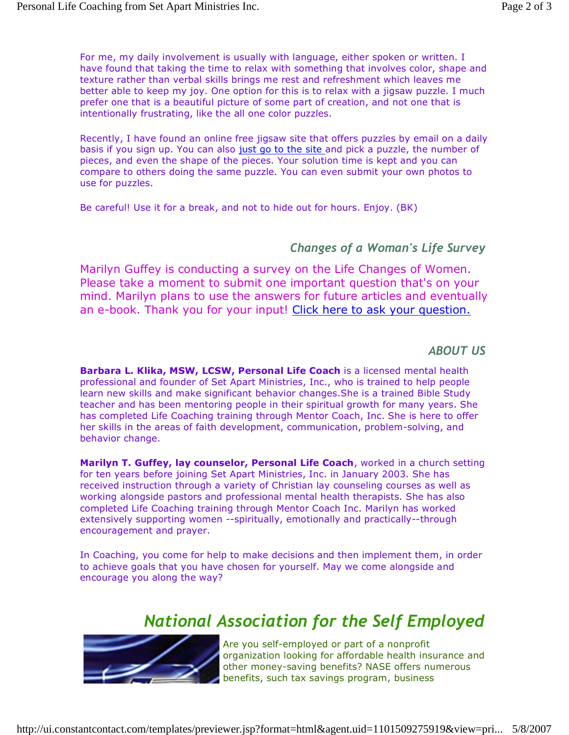For me, my daily involvement is usually with language, either spoken or written. I have found that taking the time to relax with something that involves color, shape and texture rather than verbal skills brings me rest and refreshment which leaves me better able to keep my joy. One option for this is to relax with a jigsaw puzzle. I much prefer one that is a beautiful picture of some part of creation, and not one that is intentionally frustrating, like the all one color puzzles.

Recently, I have found an online free jigsaw site that offers puzzles by email on a daily basis if you sign up. You can also just go to the site and pick a puzzle, the number of pieces, and even the shape of the pieces. Your solution time is kept and you can compare to others doing the same puzzle. You can even submit your own photos to use for puzzles.

Be careful! Use it for a break, and not to hide out for hours. Enjoy. (BK)

### Changes of a Woman's Life Survey

Marilyn Guffey is conducting a survey on the Life Changes of Women. Please take a moment to submit one important question that's on your mind. Marilyn plans to use the answers for future articles and eventually an e-book. Thank you for your input! Click here to ask your question.

#### ABOUT US

Barbara L. Klika, MSW, LCSW, Personal Life Coach is a licensed mental health professional and founder of Set Apart Ministries, Inc., who is trained to help people learn new skills and make significant behavior changes.She is a trained Bible Study teacher and has been mentoring people in their spiritual growth for many years. She has completed Life Coaching training through Mentor Coach, Inc. She is here to offer her skills in the areas of faith development, communication, problem-solving, and behavior change.

Marilyn T. Guffey, lay counselor, Personal Life Coach, worked in a church setting for ten years before joining Set Apart Ministries, Inc. in January 2003. She has received instruction through a variety of Christian lay counseling courses as well as working alongside pastors and professional mental health therapists. She has also completed Life Coaching training through Mentor Coach Inc. Marilyn has worked extensively supporting women --spiritually, emotionally and practically--through encouragement and prayer.

In Coaching, you come for help to make decisions and then implement them, in order to achieve goals that you have chosen for yourself. May we come alongside and encourage you along the way?

# National Association for the Self Employed



Are you self-employed or part of a nonprofit organization looking for affordable health insurance and other money-saving benefits? NASE offers numerous benefits, such tax savings program, business